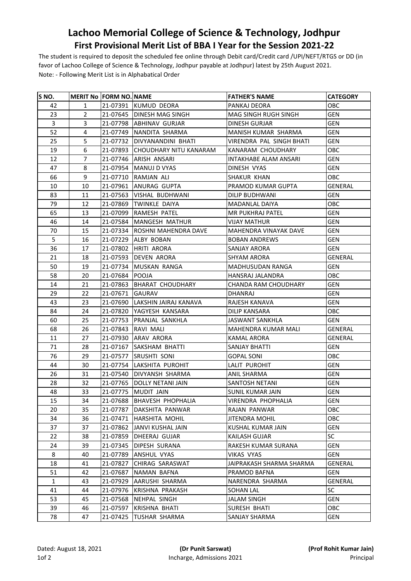## **Lachoo Memorial College of Science & Technology, Jodhpur First Provisional Merit List of BBA I Year for the Session 2021-22**

The student is required to deposit the scheduled fee online through Debit card/Credit card /UPI/NEFT/RTGS or DD (in favor of Lachoo College of Science & Technology, Jodhpur payable at Jodhpur) latest by 25th August 2021. Note: - Following Merit List is in Alphabatical Order

| S NO.        |                | <b>MERIT No FORM NO. NAME</b> |                                 | <b>FATHER'S NAME</b>         | <b>CATEGORY</b> |
|--------------|----------------|-------------------------------|---------------------------------|------------------------------|-----------------|
| 42           | 1              |                               | 21-07391 KUMUD DEORA            | PANKAJ DEORA                 | ОВС             |
| 23           | $\overline{2}$ |                               | 21-07645   DINESH MAG SINGH     | MAG SINGH RUGH SINGH         | <b>GEN</b>      |
| 3            | 3              |                               | 21-07798 ABHINAV GURJAR         | DINESH GURJAR                | <b>GEN</b>      |
| 52           | 4              |                               | 21-07749   NANDITA SHARMA       | MANISH KUMAR SHARMA          | <b>GEN</b>      |
| 25           | 5              |                               | 21-07732 DIVYANANDINI BHATI     | VIRENDRA PAL SINGH BHATI     | <b>GEN</b>      |
| 19           | 6              |                               | 21-07893 CHOUDHARY NITU KANARAM | KANARAM CHOUDHARY            | OBC             |
| 12           | 7              |                               | 21-07746 ARISH ANSARI           | <b>INTAKHABE ALAM ANSARI</b> | <b>GEN</b>      |
| 47           | 8              |                               | 21-07954 MANUJ D VYAS           | DINESH VYAS                  | <b>GEN</b>      |
| 66           | 9              |                               | 21-07710 RAMJAN ALI             | <b>SHAKUR KHAN</b>           | OBC             |
| 10           | 10             | 21-07961                      | IANURAG GUPTA                   | PRAMOD KUMAR GUPTA           | GENERAL         |
| 83           | 11             |                               | 21-07563   VISHAL BUDHWANI      | DILIP BUDHWANI               | <b>GEN</b>      |
| 79           | 12             |                               | 21-07869 TWINKLE DAIYA          | MADANLAL DAIYA               | OBC             |
| 65           | 13             |                               | 21-07099 RAMESH PATEL           | MR PUKHRAJ PATEL             | <b>GEN</b>      |
| 46           | 14             |                               | 21-07584   MANGESH MATHUR       | <b>VIJAY MATHUR</b>          | <b>GEN</b>      |
| 70           | 15             |                               | 21-07334 ROSHNI MAHENDRA DAVE   | MAHENDRA VINAYAK DAVE        | <b>GEN</b>      |
| 5            | 16             |                               | 21-07229 ALBY BOBAN             | <b>BOBAN ANDREWS</b>         | <b>GEN</b>      |
| 36           | 17             |                               | 21-07802 HRITI ARORA            | SANJAY ARORA                 | <b>GEN</b>      |
| 21           | 18             | 21-07593                      | <b>DEVEN ARORA</b>              | <b>SHYAM ARORA</b>           | <b>GENERAL</b>  |
| 50           | 19             | 21-07734                      | MUSKAN RANGA                    | MADHUSUDAN RANGA             | <b>GEN</b>      |
| 58           | 20             | 21-07684                      | <b>POOJA</b>                    | HANSRAJ JALANDRA             | OBC             |
| 14           | 21             | 21-07863                      | <b>BHARAT CHOUDHARY</b>         | CHANDA RAM CHOUDHARY         | <b>GEN</b>      |
| 29           | 22             | 21-07671                      | GAURAV                          | DHANRAJ                      | <b>GEN</b>      |
| 43           | 23             |                               | 21-07690 LAKSHIN JAIRAJ KANAVA  | RAJESH KANAVA                | <b>GEN</b>      |
| 84           | 24             |                               | 21-07820 YAGYESH KANSARA        | <b>DILIP KANSARA</b>         | OBC             |
| 60           | 25             |                               | 21-07753 PRANJAL SANKHLA        | <b>JASWANT SANKHLA</b>       | <b>GEN</b>      |
| 68           | 26             | 21-07843                      | RAVI MALI                       | MAHENDRA KUMAR MALI          | GENERAL         |
| 11           | 27             |                               | 21-07930 ARAV ARORA             | <b>KAMAL ARORA</b>           | GENERAL         |
| 71           | 28             | 21-07167                      | <b>SAKSHAM BHATTI</b>           | SANJAY BHATTI                | <b>GEN</b>      |
| 76           | 29             | 21-07577                      | <b>SRUSHTI SONI</b>             | GOPAL SONI                   | OBC             |
| 44           | 30             |                               | 21-07754 LAKSHITA PUROHIT       | LALIT PUROHIT                | <b>GEN</b>      |
| 26           | 31             | 21-07540                      | <b>DIVYANSH SHARMA</b>          | ANIL SHARMA                  | <b>GEN</b>      |
| 28           | 32             | 21-07765                      | <b>DOLLY NETANI JAIN</b>        | SANTOSH NETANI               | <b>GEN</b>      |
| 48           | 33             |                               | 21-07775 MUDIT JAIN             | SUNIL KUMAR JAIN             | <b>GEN</b>      |
| 15           | 34             |                               | 21-07688 BHAVESH PHOPHALIA      | VIRENDRA PHOPHALIA           | <b>GEN</b>      |
| 20           | 35             | 21-07787                      | DAKSHITA PANWAR                 | RAJAN PANWAR                 | OBC             |
| 34           | 36             | 21-07471                      | <b>HARSHITA MOHIL</b>           | <b>JITENDRA MOHIL</b>        | OBC             |
| 37           | 37             | 21-07862                      | JANVI KUSHAL JAIN               | KUSHAL KUMAR JAIN            | GEN             |
| 22           | 38             | 21-07859                      | DHEERAJ GUJAR                   | <b>KAILASH GUJAR</b>         | SC              |
| 24           | 39             | 21-07345                      | DIPESH SURANA                   | RAKESH KUMAR SURANA          | GEN             |
| 8            | 40             | 21-07789                      | ANSHUL VYAS                     | VIKAS VYAS                   | <b>GEN</b>      |
| 18           | 41             | 21-07827                      | CHIRAG SARASWAT                 | JAIPRAKASH SHARMA SHARMA     | GENERAL         |
| 51           | 42             | 21-07687                      | NAMAN BAFNA                     | PRAMOD BAFNA                 | GEN             |
| $\mathbf{1}$ | 43             | 21-07929                      | AARUSHI SHARMA                  | NARENDRA SHARMA              | GENERAL         |
| 41           | 44             | 21-07976                      | KRISHNA PRAKASH                 | SOHAN LAL                    | SC              |
| 53           | 45             | 21-07568                      | NEHPAL SINGH                    | <b>JALAM SINGH</b>           | <b>GEN</b>      |
| 39           | 46             | 21-07597                      | KRISHNA BHATI                   | SURESH BHATI                 | OBC             |
| 78           | 47             | 21-07425                      | <b>TUSHAR SHARMA</b>            | SANJAY SHARMA                | GEN             |